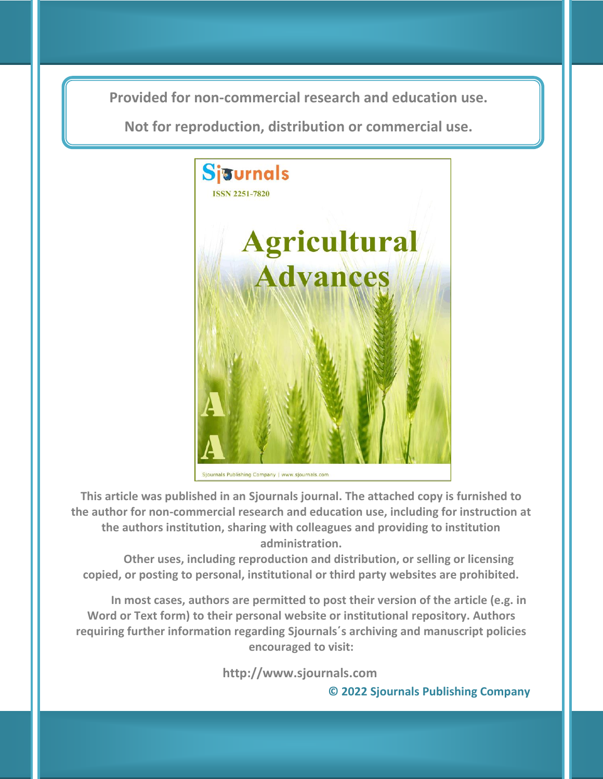**Provided for non-commercial research and education use. Provided for non-commercial research and education use.**

**Not for reproduction, distribution or commercial use. Not for reproduction, distribution or commercial use.**



Sjournals Publishing Company | www.sjournals.com

**This article was published in an Sjournals journal. The attached copy is furnished to the author for non-commercial research and education use, including for instruction at the authors institution, sharing with colleagues and providing to institution administration.**

**Other uses, including reproduction and distribution, or selling or licensing copied, or posting to personal, institutional or third party websites are prohibited.**

**In most cases, authors are permitted to post their version of the article (e.g. in Word or Text form) to their personal website or institutional repository. Authors requiring further information regarding Sjournals΄s archiving and manuscript policies encouraged to visit:**

**http://www.sjournals.com** 

 **© 2022 Sjournals Publishing Company**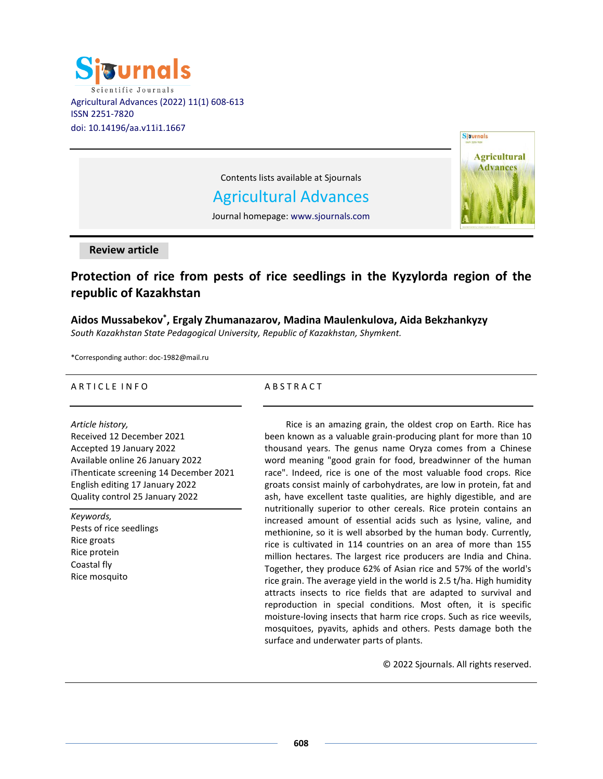



Contents lists available at Sjournals

# Agricultural Advances

Journal homepage: www.sjournals.com

#### **Review article**

## **Protection of rice from pests of rice seedlings in the Kyzylorda region of the republic of Kazakhstan**

### **Aidos Mussabekov\* , Ergaly Zhumanazarov, Madina Maulenkulova, Aida Bekzhankyzy**

*South Kazakhstan State Pedagogical University, Republic of Kazakhstan, Shymkent.*

\*Corresponding author: doc-1982@mail.ru

#### ARTICLE INFO

#### *Article history,*

Received 12 December 2021 Accepted 19 January 2022 Available online 26 January 2022 iThenticate screening 14 December 2021 English editing 17 January 2022 Quality control 25 January 2022

*Keywords,*

Pests of rice seedlings Rice groats Rice protein Сoastal fly Rice mosquito

#### A B S T R A C T

Rice is an amazing grain, the oldest crop on Earth. Rice has been known as a valuable grain-producing plant for more than 10 thousand years. The genus name Oryza comes from a Chinese word meaning "good grain for food, breadwinner of the human race". Indeed, rice is one of the most valuable food crops. Rice groats consist mainly of carbohydrates, are low in protein, fat and ash, have excellent taste qualities, are highly digestible, and are nutritionally superior to other cereals. Rice protein contains an increased amount of essential acids such as lysine, valine, and methionine, so it is well absorbed by the human body. Currently, rice is cultivated in 114 countries on an area of more than 155 million hectares. The largest rice producers are India and China. Together, they produce 62% of Asian rice and 57% of the world's rice grain. The average yield in the world is 2.5 t/ha. High humidity attracts insects to rice fields that are adapted to survival and reproduction in special conditions. Most often, it is specific moisture-loving insects that harm rice crops. Such as rice weevils, mosquitoes, pyavits, aphids and others. Pests damage both the surface and underwater parts of plants.

© 2022 Sjournals. All rights reserved.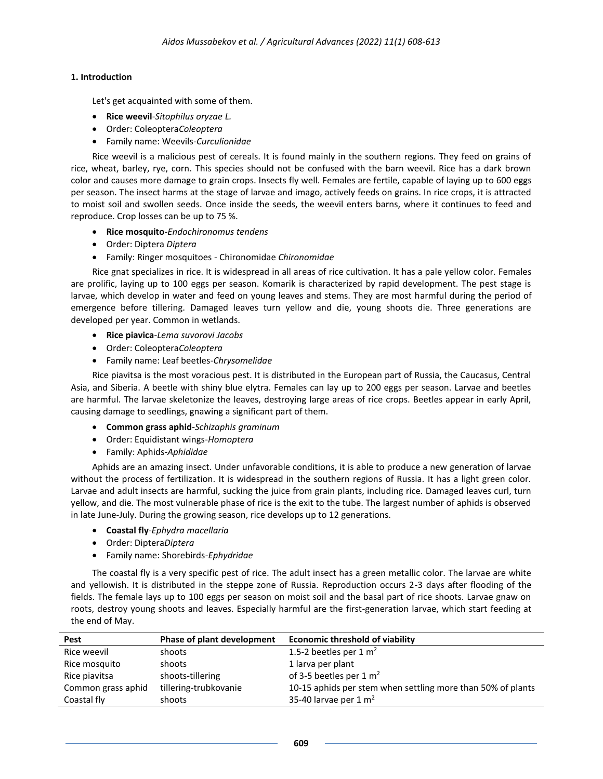#### **1. Introduction**

Let's get acquainted with some of them.

- **Rice weevil**-*Sitophilus oryzae L.*
- Order: Coleoptera*Coleoptera*
- Family name: Weevils-*Curculionidae*

Rice weevil is a malicious pest of cereals. It is found mainly in the southern regions. They feed on grains of rice, wheat, barley, rye, corn. This species should not be confused with the barn weevil. Rice has a dark brown color and causes more damage to grain crops. Insects fly well. Females are fertile, capable of laying up to 600 eggs per season. The insect harms at the stage of larvae and imago, actively feeds on grains. In rice crops, it is attracted to moist soil and swollen seeds. Once inside the seeds, the weevil enters barns, where it continues to feed and reproduce. Crop losses can be up to 75 %.

- **Rice mosquito**-*Endochironomus tendens*
- Order: Diptera *Diptera*
- Family: Ringer mosquitoes Chironomidae *Chironomidae*

Rice gnat specializes in rice. It is widespread in all areas of rice cultivation. It has a pale yellow color. Females are prolific, laying up to 100 eggs per season. Komarik is characterized by rapid development. The pest stage is larvae, which develop in water and feed on young leaves and stems. They are most harmful during the period of emergence before tillering. Damaged leaves turn yellow and die, young shoots die. Three generations are developed per year. Common in wetlands.

- **Rice piavica**-*Lema suvorovi Jacobs*
- Order: Coleoptera*Coleoptera*
- Family name: Leaf beetles-*Chrysomelidae*

Rice piavitsa is the most voracious pest. It is distributed in the European part of Russia, the Caucasus, Central Asia, and Siberia. A beetle with shiny blue elytra. Females can lay up to 200 eggs per season. Larvae and beetles are harmful. The larvae skeletonize the leaves, destroying large areas of rice crops. Beetles appear in early April, causing damage to seedlings, gnawing a significant part of them.

- **Common grass aphid**-*Schizaphis graminum*
- Order: Equidistant wings-*Homoptera*
- Family: Aphids-*Aphididae*

Aphids are an amazing insect. Under unfavorable conditions, it is able to produce a new generation of larvae without the process of fertilization. It is widespread in the southern regions of Russia. It has a light green color. Larvae and adult insects are harmful, sucking the juice from grain plants, including rice. Damaged leaves curl, turn yellow, and die. The most vulnerable phase of rice is the exit to the tube. The largest number of aphids is observed in late June-July. During the growing season, rice develops up to 12 generations.

- **Coastal fly**-*Ephydra macellaria*
- Order: Diptera*Diptera*
- Family name: Shorebirds-*Ephydridae*

The coastal fly is a very specific pest of rice. The adult insect has a green metallic color. The larvae are white and yellowish. It is distributed in the steppe zone of Russia. Reproduction occurs 2-3 days after flooding of the fields. The female lays up to 100 eggs per season on moist soil and the basal part of rice shoots. Larvae gnaw on roots, destroy young shoots and leaves. Especially harmful are the first-generation larvae, which start feeding at the end of May.

| Pest               | Phase of plant development | <b>Economic threshold of viability</b>                      |
|--------------------|----------------------------|-------------------------------------------------------------|
| Rice weevil        | shoots                     | 1.5-2 beetles per 1 $m2$                                    |
| Rice mosquito      | shoots                     | 1 larva per plant                                           |
| Rice piavitsa      | shoots-tillering           | of 3-5 beetles per 1 $m2$                                   |
| Common grass aphid | tillering-trubkovanie      | 10-15 aphids per stem when settling more than 50% of plants |
| Coastal fly        | shoots                     | 35-40 larvae per $1 \text{ m}^2$                            |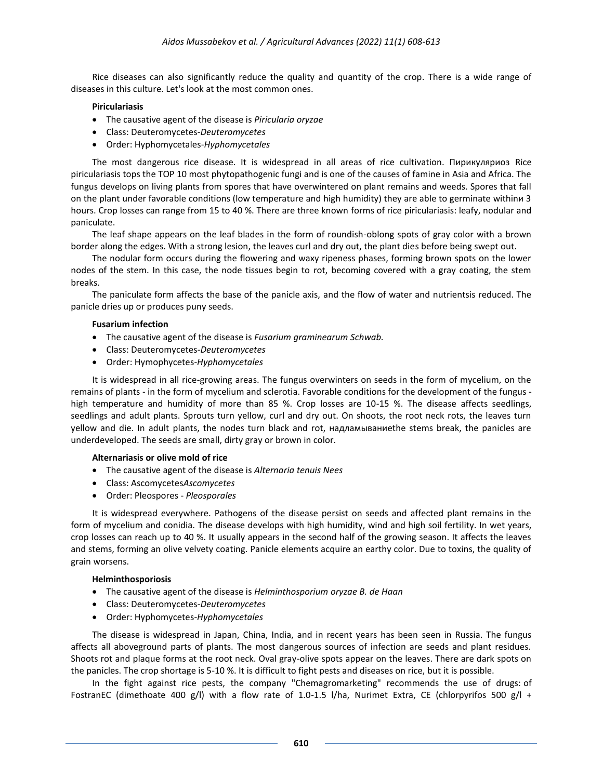Rice diseases can also significantly reduce the quality and quantity of the crop. There is a wide range of diseases in this culture. Let's look at the most common ones.

#### **Piriculariasis**

- The causative agent of the disease is *Piricularia oryzae*
- Class: Deuteromycetes-*Deuteromycetes*
- Order: Hyphomycetales-*Hyphomycetales*

The most dangerous rice disease. It is widespread in all areas of rice cultivation. Пирикуляриоз Rice piriculariasis tops the TOP 10 most phytopathogenic fungi and is one of the causes of famine in Asia and Africa. The fungus develops on living plants from spores that have overwintered on plant remains and weeds. Spores that fall on the plant under favorable conditions (low temperature and high humidity) they are able to germinate withinи 3 hours. Crop losses can range from 15 to 40 %. There are three known forms of rice piriculariasis: leafy, nodular and paniculate.

The leaf shape appears on the leaf blades in the form of roundish-oblong spots of gray color with a brown border along the edges. With a strong lesion, the leaves curl and dry out, the plant dies before being swept out.

The nodular form occurs during the flowering and waxy ripeness phases, forming brown spots on the lower nodes of the stem. In this case, the node tissues begin to rot, becoming covered with a gray coating, the stem breaks.

The paniculate form affects the base of the panicle axis, and the flow of water and nutrientsis reduced. The panicle dries up or produces puny seeds.

#### **Fusarium infection**

- The causative agent of the disease is *Fusarium graminearum Schwab.*
- Class: Deuteromycetes-*Deuteromycetes*
- Order: Hymophycetes-*Hyphomycetales*

It is widespread in all rice-growing areas. The fungus overwinters on seeds in the form of mycelium, on the remains of plants - in the form of mycelium and sclerotia. Favorable conditions for the development of the fungus high temperature and humidity of more than 85 %. Crop losses are 10-15 %. The disease affects seedlings, seedlings and adult plants. Sprouts turn yellow, curl and dry out. On shoots, the root neck rots, the leaves turn yellow and die. In adult plants, the nodes turn black and rot, надламываниеthe stems break, the panicles are underdeveloped. The seeds are small, dirty gray or brown in color.

#### **Alternariasis or olive mold of rice**

- The causative agent of the disease is *Alternaria tenuis Nees*
- Class: Ascomycetes*Ascomycetes*
- Order: Pleospores *Pleosporales*

It is widespread everywhere. Pathogens of the disease persist on seeds and affected plant remains in the form of mycelium and conidia. The disease develops with high humidity, wind and high soil fertility. In wet years, crop losses can reach up to 40 %. It usually appears in the second half of the growing season. It affects the leaves and stems, forming an olive velvety coating. Panicle elements acquire an earthy color. Due to toxins, the quality of grain worsens.

#### **Helminthosporiosis**

- The causative agent of the disease is *Helminthosporium oryzae B. de Haan*
- Class: Deuteromycetes-*Deuteromycetes*
- Order: Hyphomycetes-*Hyphomycetales*

The disease is widespread in Japan, China, India, and in recent years has been seen in Russia. The fungus affects all aboveground parts of plants. The most dangerous sources of infection are seeds and plant residues. Shoots rot and plaque forms at the root neck. Oval gray-olive spots appear on the leaves. There are dark spots on the panicles. The crop shortage is 5-10 %. It is difficult to fight pests and diseases on rice, but it is possible.

In the fight against rice pests, the company "Chemagromarketing" recommends the use of drugs: [of](http://himagromarketing.ru/ru/sredstva-zasshity-rastenij/38-fostran.html) [FostranE](http://himagromarketing.ru/ru/sredstva-zasshity-rastenij/38-fostran.html)C (dimethoate 400 g/l) with a flow rate of 1.0-1.5 l/ha, [Nurimet](http://himagromarketing.ru/ru/sredstva-zasshity-rastenij/43-nurimet-ekstra.html) Extra, CE (chlorpyrifos 500 g/l +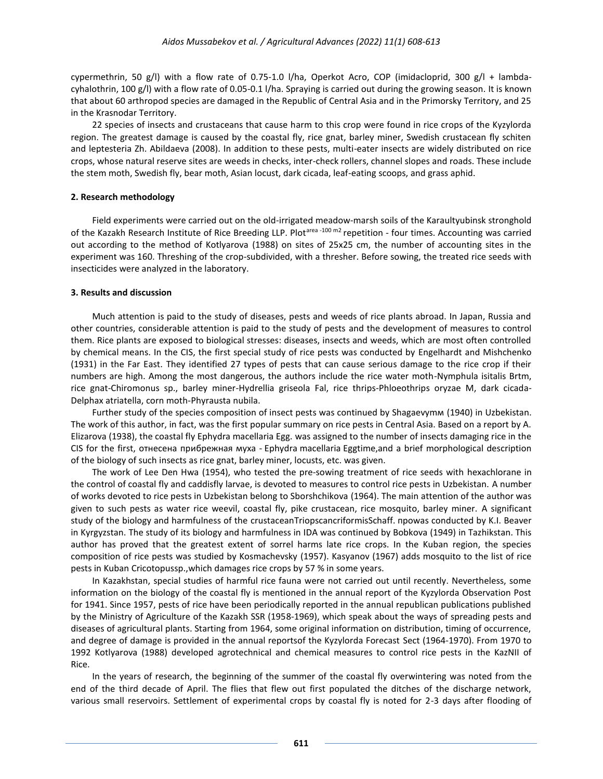cypermethrin, 50 g/l) with a flow rate of 0.75-1.0 l/ha, [Operkot](http://himagromarketing.ru/ru/sredstva-zasshity-rastenij/45-operkot-akro.html) Acro, COP (imidacloprid, 300 g/l + lambdacyhalothrin, 100 g/l) with a flow rate of 0.05-0.1 l/ha. Spraying is carried out during the growing season. It is known that about 60 arthropod species are damaged in the Republic of Central Asia and in the Primorsky Territory, and 25 in the Krasnodar Territory.

22 species of insects and crustaceans that cause harm to this crop were found in rice crops of the Kyzylorda region. The greatest damage is caused by the coastal fly, rice gnat, barley miner, Swedish crustacean fly schiten and leptesteria Zh. Abildaeva (2008). In addition to these pests, multi-eater insects are widely distributed on rice crops, whose natural reserve sites are weeds in checks, inter-check rollers, channel slopes and roads. These include the stem moth, Swedish fly, bear moth, Asian locust, dark cicada, leaf-eating scoops, and grass aphid.

#### **2. Research methodology**

Field experiments were carried out on the old-irrigated meadow-marsh soils of the Karaultyubinsk stronghold of the Kazakh Research Institute of Rice Breeding LLP. Plot<sup>area -100 m2</sup> repetition - four times. Accounting was carried out according to the method of Kotlyarova (1988) on sites of 25x25 cm, the number of accounting sites in the experiment was 160. Threshing of the crop-subdivided, with a thresher. Before sowing, the treated rice seeds with insecticides were analyzed in the laboratory.

#### **3. Results and discussion**

Much attention is paid to the study of diseases, pests and weeds of rice plants abroad. In Japan, Russia and other countries, considerable attention is paid to the study of pests and the development of measures to control them. Rice plants are exposed to biological stresses: diseases, insects and weeds, which are most often controlled by chemical means. In the CIS, the first special study of rice pests was conducted by Engelhardt and Mishchenko (1931) in the Far East. They identified 27 types of pests that can cause serious damage to the rice crop if their numbers are high. Among the most dangerous, the authors include the rice water moth-Nymphula isitalis Brtm, rice gnat-Chiromonus sp., barley miner-Hydrellia griseola Fal, rice thrips-Phloeothrips oryzae M, dark cicada-Delphax atriatella, corn moth-Phyrausta nubila.

Further study of the species composition of insect pests was continued by Shagaevymм (1940) in Uzbekistan. The work of this author, in fact, was the first popular summary on rice pests in Central Asia. Based on a report by A. Elizarova (1938), the coastal fly Ephydra macellaria Egg. was assigned to the number of insects damaging rice in the CIS for the first, отнесена прибрежная муха - Ephydra macellaria Eggtime,and a brief morphological description of the biology of such insects as rice gnat, barley miner, locusts, etc. was given.

The work of Lee Den Hwa (1954), who tested the pre-sowing treatment of rice seeds with hexachlorane in the control of coastal fly and caddisfly larvae, is devoted to measures to control rice pests in Uzbekistan. A number of works devoted to rice pests in Uzbekistan belong to Sborshchikova (1964). The main attention of the author was given to such pests as water rice weevil, coastal fly, pike crustacean, rice mosquito, barley miner. A significant study of the biology and harmfulness of the crustaceanTriopscancriformisSchaff. проwas conducted by K.I. Beaver in Kyrgyzstan. The study of its biology and harmfulness in IDA was continued by Bobkova (1949) in Tazhikstan. This author has proved that the greatest extent of sorrel harms late rice crops. In the Kuban region, the species composition of rice pests was studied by Kosmachevsky (1957). Kasyanov (1967) adds mosquito to the list of rice pests in Kuban Cricotopussp.,which damages rice crops by 57 % in some years.

In Kazakhstan, special studies of harmful rice fauna were not carried out until recently. Nevertheless, some information on the biology of the coastal fly is mentioned in the annual report of the Kyzylorda Observation Post for 1941. Since 1957, pests of rice have been periodically reported in the annual republican publications published by the Ministry of Agriculture of the Kazakh SSR (1958-1969), which speak about the ways of spreading pests and diseases of agricultural plants. Starting from 1964, some original information on distribution, timing of occurrence, and degree of damage is provided in the annual reportsof the Kyzylorda Forecast Sect (1964-1970). From 1970 to 1992 Kotlyarova (1988) developed agrotechnical and chemical measures to control rice pests in the KazNII of Rice.

In the years of research, the beginning of the summer of the coastal fly overwintering was noted from the end of the third decade of April. The flies that flew out first populated the ditches of the discharge network, various small reservoirs. Settlement of experimental crops by coastal fly is noted for 2-3 days after flooding of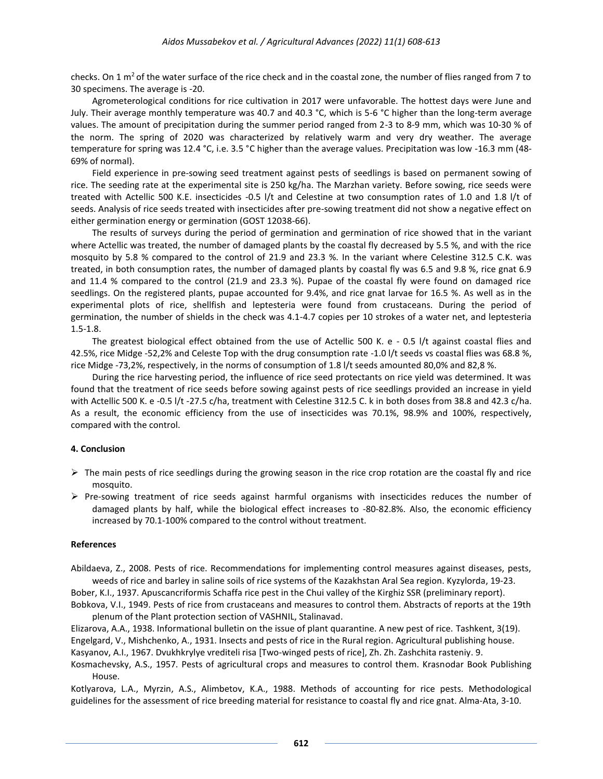checks. On 1  $m<sup>2</sup>$  of the water surface of the rice check and in the coastal zone, the number of flies ranged from 7 to 30 specimens. The average is -20.

Agrometerological conditions for rice cultivation in 2017 were unfavorable. The hottest days were June and July. Their average monthly temperature was 40.7 and 40.3 °C, which is 5-6 °C higher than the long-term average values. The amount of precipitation during the summer period ranged from 2-3 to 8-9 mm, which was 10-30 % of the norm. The spring of 2020 was characterized by relatively warm and very dry weather. The average temperature for spring was 12.4 °C, i.e. 3.5 °C higher than the average values. Precipitation was low -16.3 mm (48- 69% of normal).

Field experience in pre-sowing seed treatment against pests of seedlings is based on permanent sowing of rice. The seeding rate at the experimental site is 250 kg/ha. The Marzhan variety. Before sowing, rice seeds were treated with Actellic 500 K.E. insecticides -0.5 l/t and Celestine at two consumption rates of 1.0 and 1.8 l/t of seeds. Analysis of rice seeds treated with insecticides after pre-sowing treatment did not show a negative effect on either germination energy or germination (GOST 12038-66).

The results of surveys during the period of germination and germination of rice showed that in the variant where Actellic was treated, the number of damaged plants by the coastal fly decreased by 5.5 %, and with the rice mosquito by 5.8 % compared to the control of 21.9 and 23.3 %. In the variant where Celestine 312.5 C.K. was treated, in both consumption rates, the number of damaged plants by coastal fly was 6.5 and 9.8 %, rice gnat 6.9 and 11.4 % compared to the control (21.9 and 23.3 %). Pupae of the coastal fly were found on damaged rice seedlings. On the registered plants, pupae accounted for 9.4%, and rice gnat larvae for 16.5 %. As well as in the experimental plots of rice, shellfish and leptesteria were found from crustaceans. During the period of germination, the number of shields in the check was 4.1-4.7 copies per 10 strokes of a water net, and leptesteria 1.5-1.8.

The greatest biological effect obtained from the use of Actellic 500 K. e - 0.5 l/t against coastal flies and 42.5%, rice Midge -52,2% and Celeste Top with the drug consumption rate -1.0 l/t seeds vs coastal flies was 68.8 %, rice Midge -73,2%, respectively, in the norms of consumption of 1.8 l/t seeds amounted 80,0% and 82,8 %.

During the rice harvesting period, the influence of rice seed protectants on rice yield was determined. It was found that the treatment of rice seeds before sowing against pests of rice seedlings provided an increase in yield with Actellic 500 K. e -0.5 l/t -27.5 c/ha, treatment with Celestine 312.5 C. k in both doses from 38.8 and 42.3 c/ha. As a result, the economic efficiency from the use of insecticides was 70.1%, 98.9% and 100%, respectively, compared with the control.

#### **4. Conclusion**

- $\triangleright$  The main pests of rice seedlings during the growing season in the rice crop rotation are the coastal fly and rice mosquito.
- $\triangleright$  Pre-sowing treatment of rice seeds against harmful organisms with insecticides reduces the number of damaged plants by half, while the biological effect increases to -80-82.8%. Also, the economic efficiency increased by 70.1-100% compared to the control without treatment.

#### **References**

Abildaeva, Z., 2008. Pests of rice. Recommendations for implementing control measures against diseases, pests, weeds of rice and barley in saline soils of rice systems of the Kazakhstan Aral Sea region. Kyzylorda, 19-23.

Bober, K.I., 1937. Apuscancriformis Schaffa rice pest in the Chui valley of the Kirghiz SSR (preliminary report).

Bobkova, V.I., 1949. Pests of rice from crustaceans and measures to control them. Abstracts of reports at the 19th plenum of the Plant protection section of VASHNIL, Stalinavad.

Elizarova, A.A., 1938. Informational bulletin on the issue of plant quarantine. A new pest of rice. Tashkent, 3(19). Engelgard, V., Mishchenko, A., 1931. Insects and pests of rice in the Rural region. Agricultural publishing house.

Kasyanov, A.I., 1967. Dvukhkrylye vrediteli risa [Two-winged pests of rice], Zh. Zh. Zashchita rasteniy. 9.

Kosmachevsky, A.S., 1957. Pests of agricultural crops and measures to control them. Krasnodar Book Publishing House.

Kotlyarova, L.A., Myrzin, A.S., Alimbetov, K.A., 1988. Methods of accounting for rice pests. Methodological guidelines for the assessment of rice breeding material for resistance to coastal fly and rice gnat. Alma-Ata, 3-10.